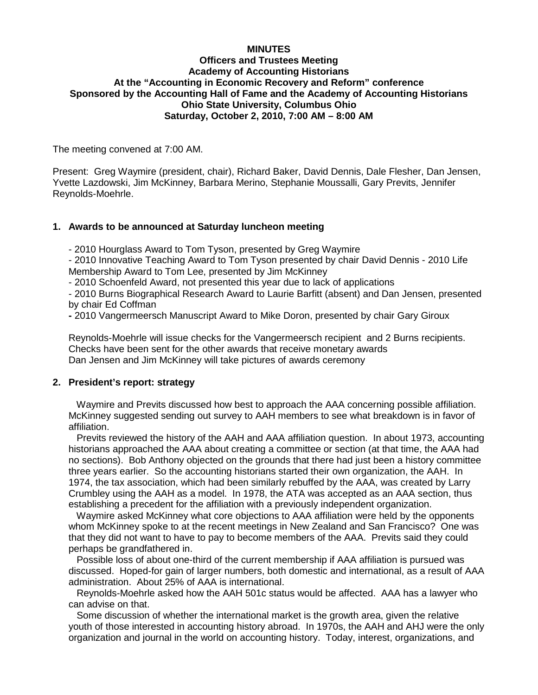#### **MINUTES**

### **Officers and Trustees Meeting Academy of Accounting Historians At the "Accounting in Economic Recovery and Reform" conference Sponsored by the Accounting Hall of Fame and the Academy of Accounting Historians Ohio State University, Columbus Ohio Saturday, October 2, 2010, 7:00 AM – 8:00 AM**

The meeting convened at 7:00 AM.

Present: Greg Waymire (president, chair), Richard Baker, David Dennis, Dale Flesher, Dan Jensen, Yvette Lazdowski, Jim McKinney, Barbara Merino, Stephanie Moussalli, Gary Previts, Jennifer Reynolds-Moehrle.

#### **1. Awards to be announced at Saturday luncheon meeting**

- 2010 Hourglass Award to Tom Tyson, presented by Greg Waymire

- 2010 Innovative Teaching Award to Tom Tyson presented by chair David Dennis - 2010 Life Membership Award to Tom Lee, presented by Jim McKinney

- 2010 Schoenfeld Award, not presented this year due to lack of applications

- 2010 Burns Biographical Research Award to Laurie Barfitt (absent) and Dan Jensen, presented by chair Ed Coffman

**-** 2010 Vangermeersch Manuscript Award to Mike Doron, presented by chair Gary Giroux

Reynolds-Moehrle will issue checks for the Vangermeersch recipient and 2 Burns recipients. Checks have been sent for the other awards that receive monetary awards Dan Jensen and Jim McKinney will take pictures of awards ceremony

#### **2. President's report: strategy**

 Waymire and Previts discussed how best to approach the AAA concerning possible affiliation. McKinney suggested sending out survey to AAH members to see what breakdown is in favor of affiliation.

 Previts reviewed the history of the AAH and AAA affiliation question. In about 1973, accounting historians approached the AAA about creating a committee or section (at that time, the AAA had no sections). Bob Anthony objected on the grounds that there had just been a history committee three years earlier. So the accounting historians started their own organization, the AAH. In 1974, the tax association, which had been similarly rebuffed by the AAA, was created by Larry Crumbley using the AAH as a model. In 1978, the ATA was accepted as an AAA section, thus establishing a precedent for the affiliation with a previously independent organization.

 Waymire asked McKinney what core objections to AAA affiliation were held by the opponents whom McKinney spoke to at the recent meetings in New Zealand and San Francisco? One was that they did not want to have to pay to become members of the AAA. Previts said they could perhaps be grandfathered in.

 Possible loss of about one-third of the current membership if AAA affiliation is pursued was discussed. Hoped-for gain of larger numbers, both domestic and international, as a result of AAA administration. About 25% of AAA is international.

 Reynolds-Moehrle asked how the AAH 501c status would be affected. AAA has a lawyer who can advise on that.

 Some discussion of whether the international market is the growth area, given the relative youth of those interested in accounting history abroad. In 1970s, the AAH and AHJ were the only organization and journal in the world on accounting history. Today, interest, organizations, and